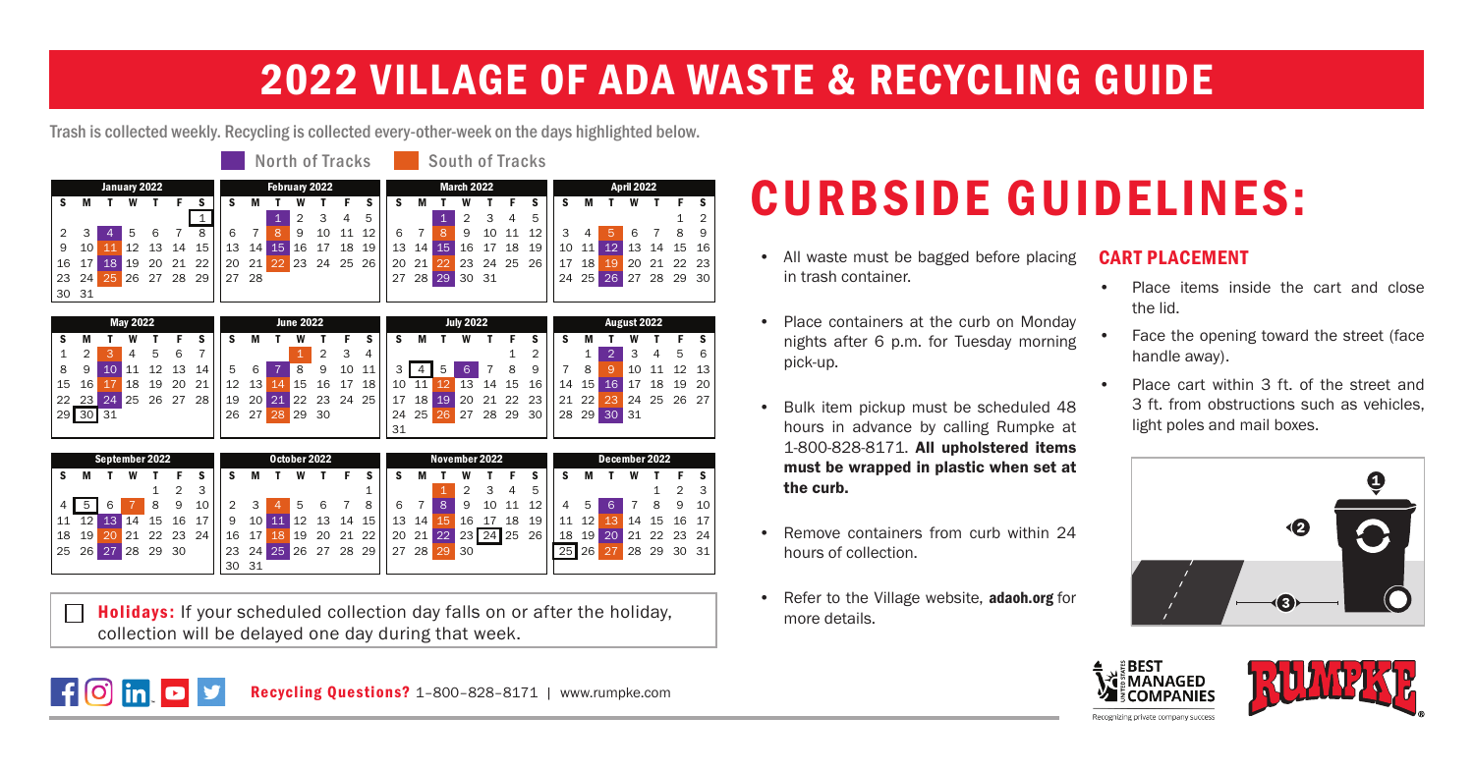### 2022 VILLAGE OF ADA WASTE & RECYCLING GUIDE

Trash is collected weekly. Recycling is collected every-other-week on the days highlighted below.

|              |    |    | North of Tracks |    |    |    |               |     |      |    |             |      |    | <b>South of Tracks</b> |                   |       |                |       |     |           |    |     |                   |    |             |    |                |  |  |  |
|--------------|----|----|-----------------|----|----|----|---------------|-----|------|----|-------------|------|----|------------------------|-------------------|-------|----------------|-------|-----|-----------|----|-----|-------------------|----|-------------|----|----------------|--|--|--|
| January 2022 |    |    |                 |    |    |    | February 2022 |     |      |    |             |      |    |                        | <b>March 2022</b> |       |                |       |     |           |    |     | <b>April 2022</b> |    |             |    |                |  |  |  |
| s            | M  |    | w               |    |    | s  | s             | м   |      |    |             |      |    | s                      | м                 |       | w              |       |     |           |    | м   |                   |    |             |    |                |  |  |  |
|              |    |    |                 |    |    |    |               |     |      | 2  | 3           | 4    | 5  |                        |                   |       | $\overline{2}$ | 3     | 4   | 5         |    |     |                   |    |             |    | $\overline{2}$ |  |  |  |
|              |    | 4  | 5               | 6  |    | 8  | 6             |     | 8    | 9  | 10          | - 11 | 12 | -6                     |                   | 8     | 9              | 10 11 |     | 12        |    |     |                   | 6  |             |    | 9              |  |  |  |
| 9            | 10 |    | 12 13           |    | 14 | 15 | 13            | 14  | 15   | 16 | 17          | 18   | 19 |                        | $13 \; 14$        | 15    | 16             | 17    | -18 | 19        | 10 | 11' | 12 <sup>2</sup>   |    | 13 14 15 16 |    |                |  |  |  |
| 16           |    | 18 | 19              | 20 | 21 | 22 | 20            | 21' | (22) |    | 23 24 25 26 |      |    |                        | 2021              | 22 23 |                | 24 25 |     | <b>26</b> | 17 | 18  | 19'               |    | 20 21       | 22 | - 23           |  |  |  |
| 23           | 24 | 25 | 26 27           |    | 28 | 29 | 27            | -28 |      |    |             |      |    | 27                     |                   | 28 29 |                | 30 31 |     |           | 24 | 25  | 26 <sub>1</sub>   | 27 | 28 29       |    | -30            |  |  |  |
| 30 31        |    |    |                 |    |    |    |               |     |      |    |             |      |    |                        |                   |       |                |       |     |           |    |     |                   |    |             |    |                |  |  |  |

|    | <b>June 2022</b> |                 |           |    |     |    |    |                 | <b>July 2022</b> |       |          |    |    |    |    |      | August 2022 |       |       |    |    |    |       |    |       |       |     |
|----|------------------|-----------------|-----------|----|-----|----|----|-----------------|------------------|-------|----------|----|----|----|----|------|-------------|-------|-------|----|----|----|-------|----|-------|-------|-----|
|    |                  |                 |           |    |     |    |    |                 |                  |       |          |    |    |    |    |      |             |       |       |    |    |    |       |    |       |       |     |
|    |                  |                 |           | 5  | 6   |    |    |                 |                  |       | 2        | 3  | 4  |    |    |      |             |       |       |    |    |    |       |    |       | 5     |     |
| 8  | 9                | 10              | 11        | 12 | 13  | 14 |    | 6               |                  | 8     | 9        | 10 | 11 |    |    | 5    | 6           |       | 8     | 9  |    | 8  |       | 10 |       | 12    | -13 |
| 15 | 16               |                 | <b>18</b> | 19 | 20  | 21 | 12 | 13 <sup>1</sup> | 44               | 15    | 16       | 17 | 18 | 10 | 11 | 12   | 13          | 14    | 15    | 16 | 14 | 15 | 16    | 17 | 18    | 19    | -20 |
|    | 2223             | 24 <sup>1</sup> | 25        | 26 | -27 | 28 | 19 | 20 <sup>1</sup> | (21)             |       | 22 23 24 |    | 25 | 17 | 18 | (19) | 20          |       | 21 22 | 23 | 21 | 22 | (23)  |    | 24 25 | 26 27 |     |
|    | 29 30 31         |                 |           |    |     |    | 26 | 27 <sup>1</sup> | 28               | 29 30 |          |    |    | 24 | 25 | 26   | 27          | 28 29 |       | 30 | 28 | 29 | 30 31 |    |       |       |     |
|    |                  |                 |           |    |     |    |    |                 |                  |       |          |    |    | 31 |    |      |             |       |       |    |    |    |       |    |       |       |     |

| September 2022 |    |    |    |       |    |    |    | October 2022    |     |                |     |       |     |    |       | November 2022 |                 |       |    |    |    |    |    | December 2022 |     |      |                 |  |  |  |  |
|----------------|----|----|----|-------|----|----|----|-----------------|-----|----------------|-----|-------|-----|----|-------|---------------|-----------------|-------|----|----|----|----|----|---------------|-----|------|-----------------|--|--|--|--|
|                |    |    |    |       |    |    |    | M               |     |                |     |       |     |    |       |               |                 |       |    |    |    |    |    |               |     |      |                 |  |  |  |  |
|                |    |    |    |       |    | R  |    |                 |     |                |     |       |     |    |       |               |                 |       |    | 5  |    |    |    |               |     |      |                 |  |  |  |  |
|                |    |    |    | 8     | 9  | 10 |    | 3               |     | 5              | 6   |       | 8   |    |       | 8             | 9               | 10    | 11 | 12 |    |    | 6  |               |     | 9    | 10 <sup>1</sup> |  |  |  |  |
| 11             | 12 | 13 | 14 | 15    | 16 |    | 9  | 10              | 11  | $^{\prime}$ 12 | 13  | 14    | 15  | 13 | 14    | 15            | 16              | 17    | 18 | 19 | 11 | 12 | 13 | 14            | 15  | - 16 | 17              |  |  |  |  |
| 18             | 19 |    | 21 | 22    | 23 | 24 | 16 | 17 <sup>1</sup> | 18' | <b>19</b>      | 20  | 21    | -22 | 20 | 21 22 |               | 23 <sub>l</sub> | 24 25 |    | 26 | 18 | 19 | 20 | 21            | 22  | 23   | 24 l            |  |  |  |  |
| 25             | 26 | 27 | 28 | 29 30 |    |    | 23 | 24              | 25  | 26             | -27 | 28 29 |     | 27 | 28    | 29            | 30              |       |    |    | 25 | 26 | 27 | 28            | -29 | 30   | -31 I           |  |  |  |  |
|                |    |    |    |       |    |    | 30 | 31              |     |                |     |       |     |    |       |               |                 |       |    |    |    |    |    |               |     |      |                 |  |  |  |  |

Holidays: If your scheduled collection day falls on or after the holiday, П collection will be delayed one day during that week.

## CURBSIDE GUIDELINES:

- All waste must be bagged before placing in trash container.
- Place containers at the curb on Monday nights after 6 p.m. for Tuesday morning pick-up.
- Bulk item pickup must be scheduled 48 hours in advance by calling Rumpke at 1-800-828-8171. All upholstered items must be wrapped in plastic when set at the curb.
- Remove containers from curb within 24 hours of collection.
- Refer to the Village website, adaoh.org for more details.

### CART PLACEMENT

- Place items inside the cart and close the lid.
- Face the opening toward the street (face handle away).
- Place cart within 3 ft. of the street and 3 ft. from obstructions such as vehicles, light poles and mail boxes.







Recycling Questions? 1–800–828–8171 | www.rumpke.com

Recognizing private company success